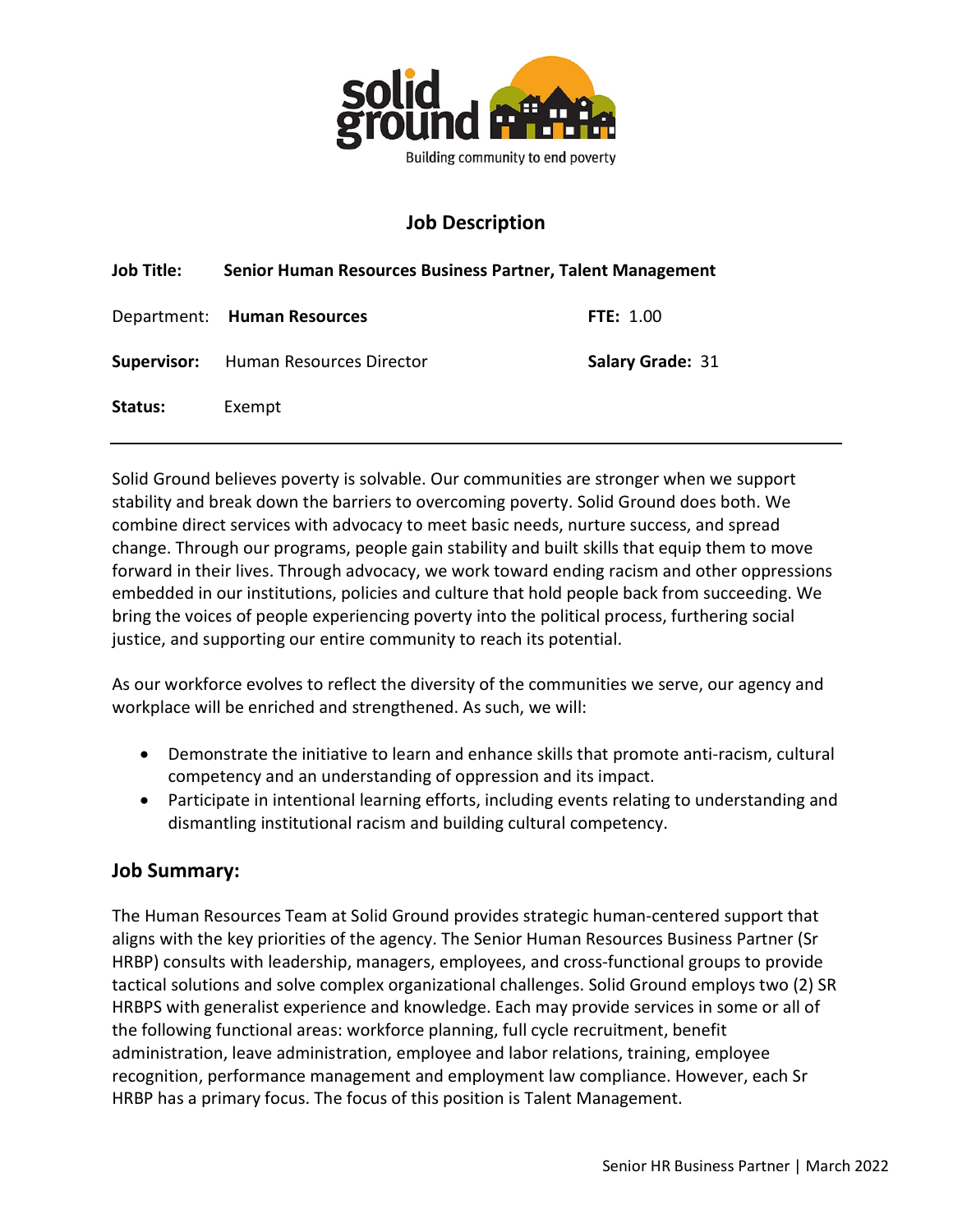

# Job Description

| <b>Job Title:</b> | Senior Human Resources Business Partner, Talent Management |                         |
|-------------------|------------------------------------------------------------|-------------------------|
|                   | Department: Human Resources                                | <b>FTE: 1.00</b>        |
|                   | <b>Supervisor:</b> Human Resources Director                | <b>Salary Grade: 31</b> |
| Status:           | Exempt                                                     |                         |

Solid Ground believes poverty is solvable. Our communities are stronger when we support stability and break down the barriers to overcoming poverty. Solid Ground does both. We combine direct services with advocacy to meet basic needs, nurture success, and spread change. Through our programs, people gain stability and built skills that equip them to move forward in their lives. Through advocacy, we work toward ending racism and other oppressions embedded in our institutions, policies and culture that hold people back from succeeding. We bring the voices of people experiencing poverty into the political process, furthering social justice, and supporting our entire community to reach its potential.

As our workforce evolves to reflect the diversity of the communities we serve, our agency and workplace will be enriched and strengthened. As such, we will:

- Demonstrate the initiative to learn and enhance skills that promote anti-racism, cultural competency and an understanding of oppression and its impact.
- Participate in intentional learning efforts, including events relating to understanding and dismantling institutional racism and building cultural competency.

## Job Summary:

The Human Resources Team at Solid Ground provides strategic human-centered support that aligns with the key priorities of the agency. The Senior Human Resources Business Partner (Sr HRBP) consults with leadership, managers, employees, and cross-functional groups to provide tactical solutions and solve complex organizational challenges. Solid Ground employs two (2) SR HRBPS with generalist experience and knowledge. Each may provide services in some or all of the following functional areas: workforce planning, full cycle recruitment, benefit administration, leave administration, employee and labor relations, training, employee recognition, performance management and employment law compliance. However, each Sr HRBP has a primary focus. The focus of this position is Talent Management.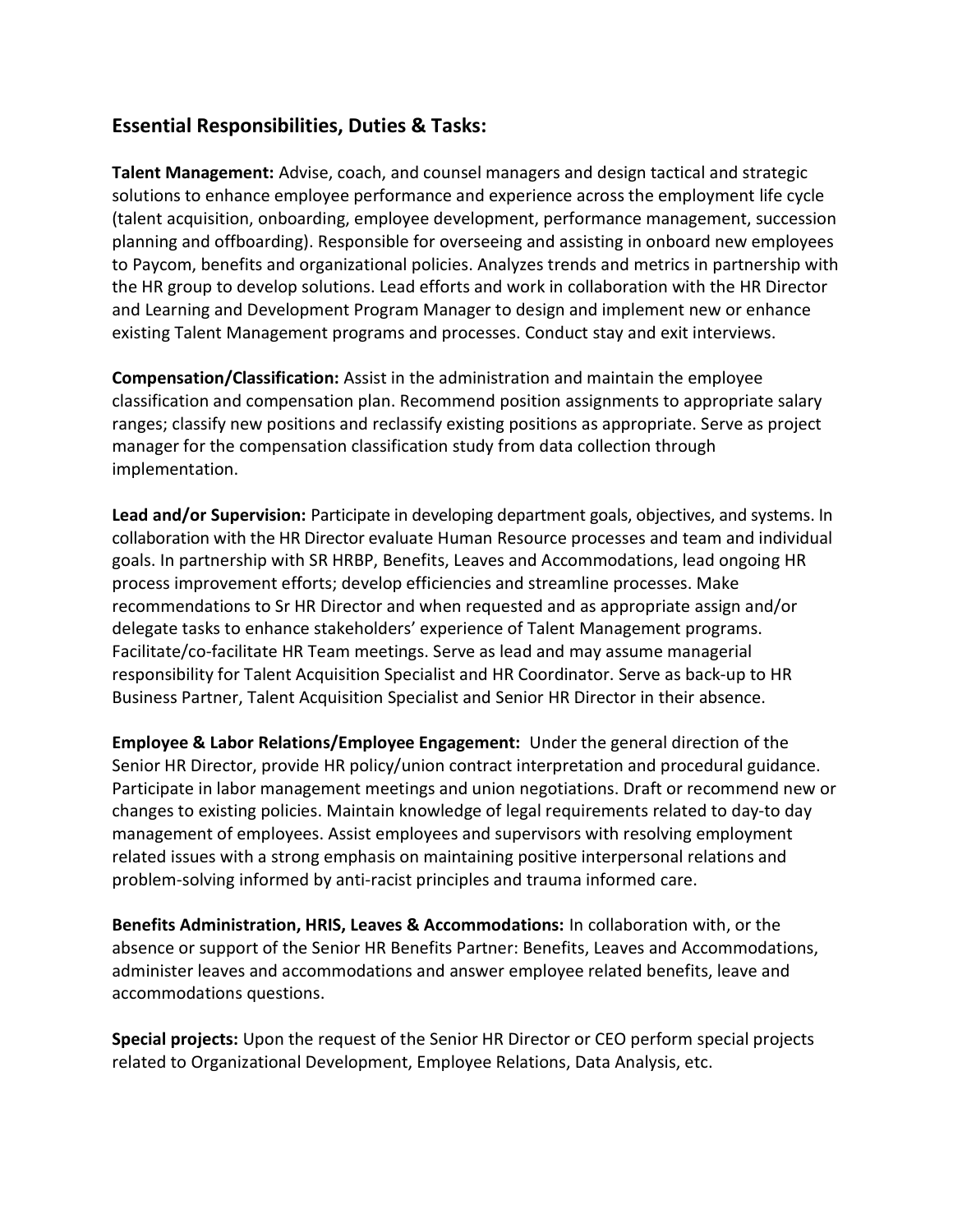## Essential Responsibilities, Duties & Tasks:

Talent Management: Advise, coach, and counsel managers and design tactical and strategic solutions to enhance employee performance and experience across the employment life cycle (talent acquisition, onboarding, employee development, performance management, succession planning and offboarding). Responsible for overseeing and assisting in onboard new employees to Paycom, benefits and organizational policies. Analyzes trends and metrics in partnership with the HR group to develop solutions. Lead efforts and work in collaboration with the HR Director and Learning and Development Program Manager to design and implement new or enhance existing Talent Management programs and processes. Conduct stay and exit interviews.

Compensation/Classification: Assist in the administration and maintain the employee classification and compensation plan. Recommend position assignments to appropriate salary ranges; classify new positions and reclassify existing positions as appropriate. Serve as project manager for the compensation classification study from data collection through implementation.

Lead and/or Supervision: Participate in developing department goals, objectives, and systems. In collaboration with the HR Director evaluate Human Resource processes and team and individual goals. In partnership with SR HRBP, Benefits, Leaves and Accommodations, lead ongoing HR process improvement efforts; develop efficiencies and streamline processes. Make recommendations to Sr HR Director and when requested and as appropriate assign and/or delegate tasks to enhance stakeholders' experience of Talent Management programs. Facilitate/co-facilitate HR Team meetings. Serve as lead and may assume managerial responsibility for Talent Acquisition Specialist and HR Coordinator. Serve as back-up to HR Business Partner, Talent Acquisition Specialist and Senior HR Director in their absence.

Employee & Labor Relations/Employee Engagement: Under the general direction of the Senior HR Director, provide HR policy/union contract interpretation and procedural guidance. Participate in labor management meetings and union negotiations. Draft or recommend new or changes to existing policies. Maintain knowledge of legal requirements related to day-to day management of employees. Assist employees and supervisors with resolving employment related issues with a strong emphasis on maintaining positive interpersonal relations and problem-solving informed by anti-racist principles and trauma informed care.

Benefits Administration, HRIS, Leaves & Accommodations: In collaboration with, or the absence or support of the Senior HR Benefits Partner: Benefits, Leaves and Accommodations, administer leaves and accommodations and answer employee related benefits, leave and accommodations questions.

Special projects: Upon the request of the Senior HR Director or CEO perform special projects related to Organizational Development, Employee Relations, Data Analysis, etc.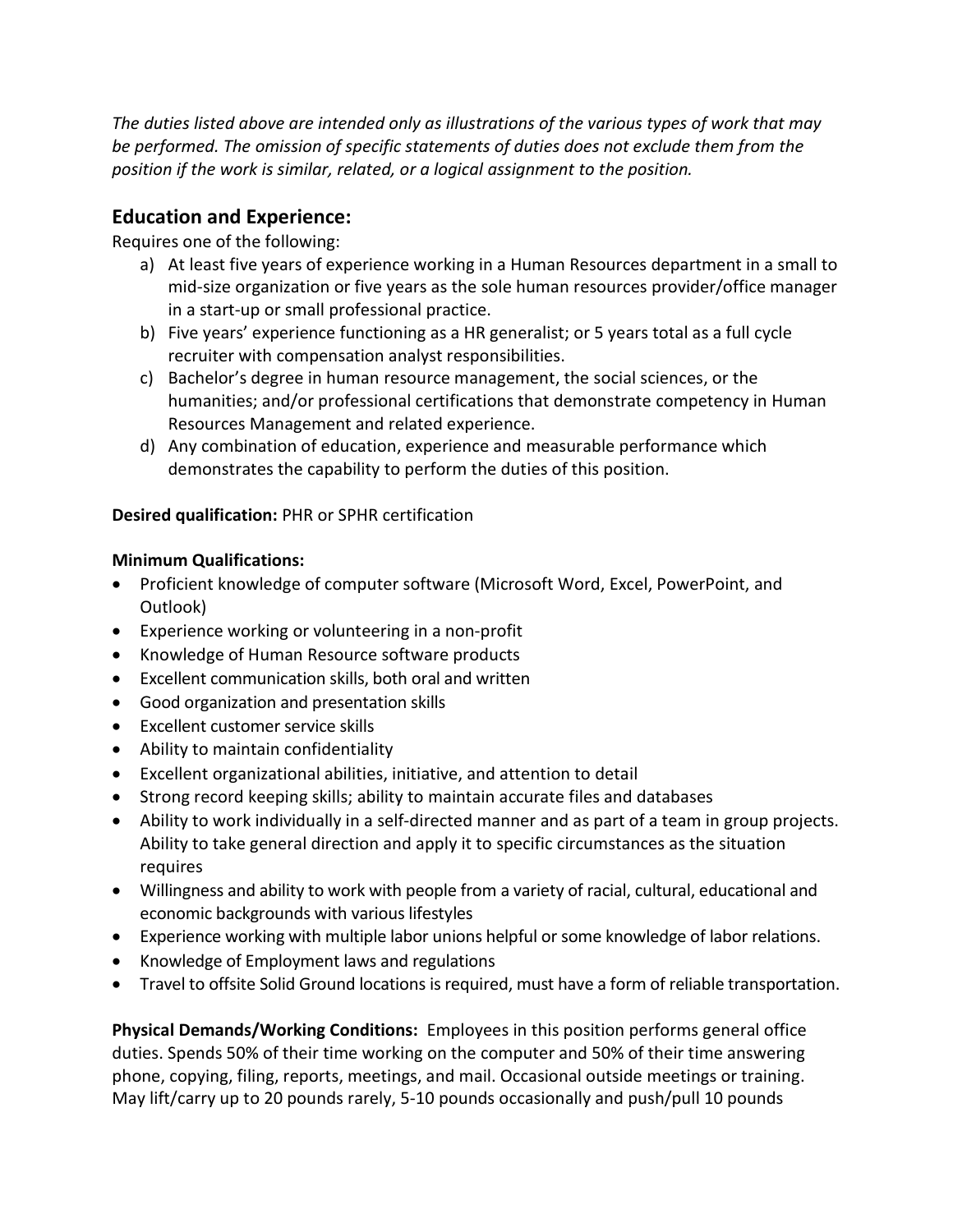The duties listed above are intended only as illustrations of the various types of work that may be performed. The omission of specific statements of duties does not exclude them from the position if the work is similar, related, or a logical assignment to the position.

## Education and Experience:

Requires one of the following:

- a) At least five years of experience working in a Human Resources department in a small to mid-size organization or five years as the sole human resources provider/office manager in a start-up or small professional practice.
- b) Five years' experience functioning as a HR generalist; or 5 years total as a full cycle recruiter with compensation analyst responsibilities.
- c) Bachelor's degree in human resource management, the social sciences, or the humanities; and/or professional certifications that demonstrate competency in Human Resources Management and related experience.
- d) Any combination of education, experience and measurable performance which demonstrates the capability to perform the duties of this position.

#### Desired qualification: PHR or SPHR certification

#### Minimum Qualifications:

- Proficient knowledge of computer software (Microsoft Word, Excel, PowerPoint, and Outlook)
- Experience working or volunteering in a non-profit
- Knowledge of Human Resource software products
- Excellent communication skills, both oral and written
- Good organization and presentation skills
- Excellent customer service skills
- Ability to maintain confidentiality
- Excellent organizational abilities, initiative, and attention to detail
- Strong record keeping skills; ability to maintain accurate files and databases
- Ability to work individually in a self-directed manner and as part of a team in group projects. Ability to take general direction and apply it to specific circumstances as the situation requires
- Willingness and ability to work with people from a variety of racial, cultural, educational and economic backgrounds with various lifestyles
- Experience working with multiple labor unions helpful or some knowledge of labor relations.
- Knowledge of Employment laws and regulations
- Travel to offsite Solid Ground locations is required, must have a form of reliable transportation.

Physical Demands/Working Conditions: Employees in this position performs general office duties. Spends 50% of their time working on the computer and 50% of their time answering phone, copying, filing, reports, meetings, and mail. Occasional outside meetings or training. May lift/carry up to 20 pounds rarely, 5-10 pounds occasionally and push/pull 10 pounds